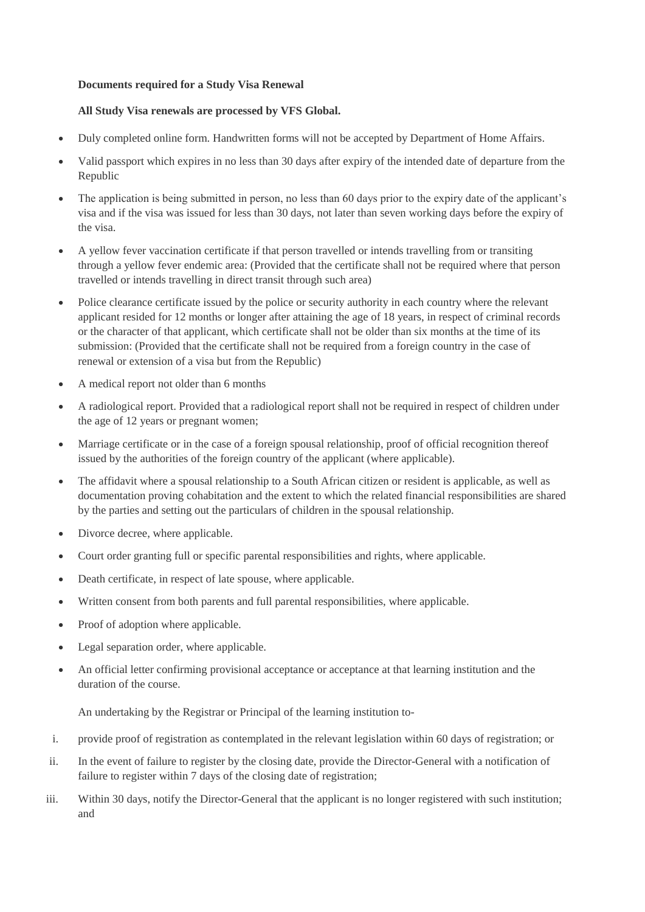## **Documents required for a Study Visa Renewal**

## **All Study Visa renewals are processed by VFS Global.**

- Duly completed online form. Handwritten forms will not be accepted by Department of Home Affairs.
- Valid passport which expires in no less than 30 days after expiry of the intended date of departure from the Republic
- The application is being submitted in person, no less than 60 days prior to the expiry date of the applicant's visa and if the visa was issued for less than 30 days, not later than seven working days before the expiry of the visa.
- A yellow fever vaccination certificate if that person travelled or intends travelling from or transiting through a yellow fever endemic area: (Provided that the certificate shall not be required where that person travelled or intends travelling in direct transit through such area)
- Police clearance certificate issued by the police or security authority in each country where the relevant applicant resided for 12 months or longer after attaining the age of 18 years, in respect of criminal records or the character of that applicant, which certificate shall not be older than six months at the time of its submission: (Provided that the certificate shall not be required from a foreign country in the case of renewal or extension of a visa but from the Republic)
- A medical report not older than 6 months
- A radiological report. Provided that a radiological report shall not be required in respect of children under the age of 12 years or pregnant women;
- Marriage certificate or in the case of a foreign spousal relationship, proof of official recognition thereof issued by the authorities of the foreign country of the applicant (where applicable).
- The affidavit where a spousal relationship to a South African citizen or resident is applicable, as well as documentation proving cohabitation and the extent to which the related financial responsibilities are shared by the parties and setting out the particulars of children in the spousal relationship.
- Divorce decree, where applicable.
- Court order granting full or specific parental responsibilities and rights, where applicable.
- Death certificate, in respect of late spouse, where applicable.
- Written consent from both parents and full parental responsibilities, where applicable.
- Proof of adoption where applicable.
- Legal separation order, where applicable.
- An official letter confirming provisional acceptance or acceptance at that learning institution and the duration of the course.

An undertaking by the Registrar or Principal of the learning institution to-

- i. provide proof of registration as contemplated in the relevant legislation within 60 days of registration; or
- ii. In the event of failure to register by the closing date, provide the Director-General with a notification of failure to register within 7 days of the closing date of registration;
- iii. Within 30 days, notify the Director-General that the applicant is no longer registered with such institution; and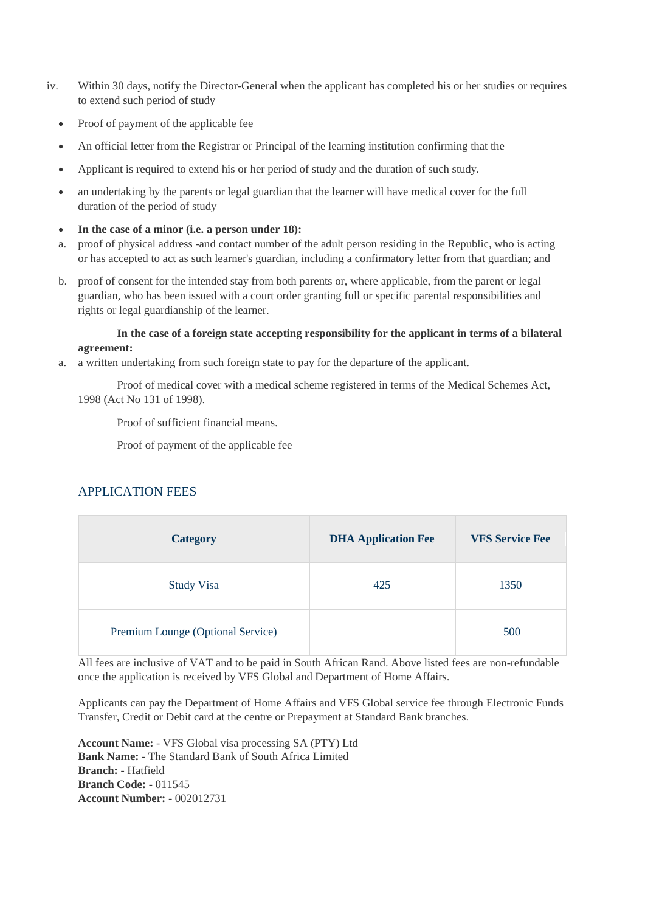- iv. Within 30 days, notify the Director-General when the applicant has completed his or her studies or requires to extend such period of study
	- Proof of payment of the applicable fee
	- An official letter from the Registrar or Principal of the learning institution confirming that the
	- Applicant is required to extend his or her period of study and the duration of such study.
	- an undertaking by the parents or legal guardian that the learner will have medical cover for the full duration of the period of study
	- **In the case of a minor (i.e. a person under 18):**
	- a. proof of physical address -and contact number of the adult person residing in the Republic, who is acting or has accepted to act as such learner's guardian, including a confirmatory letter from that guardian; and
	- b. proof of consent for the intended stay from both parents or, where applicable, from the parent or legal guardian, who has been issued with a court order granting full or specific parental responsibilities and rights or legal guardianship of the learner.

## **In the case of a foreign state accepting responsibility for the applicant in terms of a bilateral agreement:**

a. a written undertaking from such foreign state to pay for the departure of the applicant.

Proof of medical cover with a medical scheme registered in terms of the Medical Schemes Act, 1998 (Act No 131 of 1998).

Proof of sufficient financial means.

Proof of payment of the applicable fee

## APPLICATION FEES

| <b>Category</b>                   | <b>DHA Application Fee</b> | <b>VFS Service Fee</b> |
|-----------------------------------|----------------------------|------------------------|
| <b>Study Visa</b>                 | 425                        | 1350                   |
| Premium Lounge (Optional Service) |                            | 500                    |

All fees are inclusive of VAT and to be paid in South African Rand. Above listed fees are non-refundable once the application is received by VFS Global and Department of Home Affairs.

Applicants can pay the Department of Home Affairs and VFS Global service fee through Electronic Funds Transfer, Credit or Debit card at the centre or Prepayment at Standard Bank branches.

**Account Name:** - VFS Global visa processing SA (PTY) Ltd **Bank Name:** - The Standard Bank of South Africa Limited **Branch:** - Hatfield **Branch Code:** - 011545 **Account Number:** - 002012731